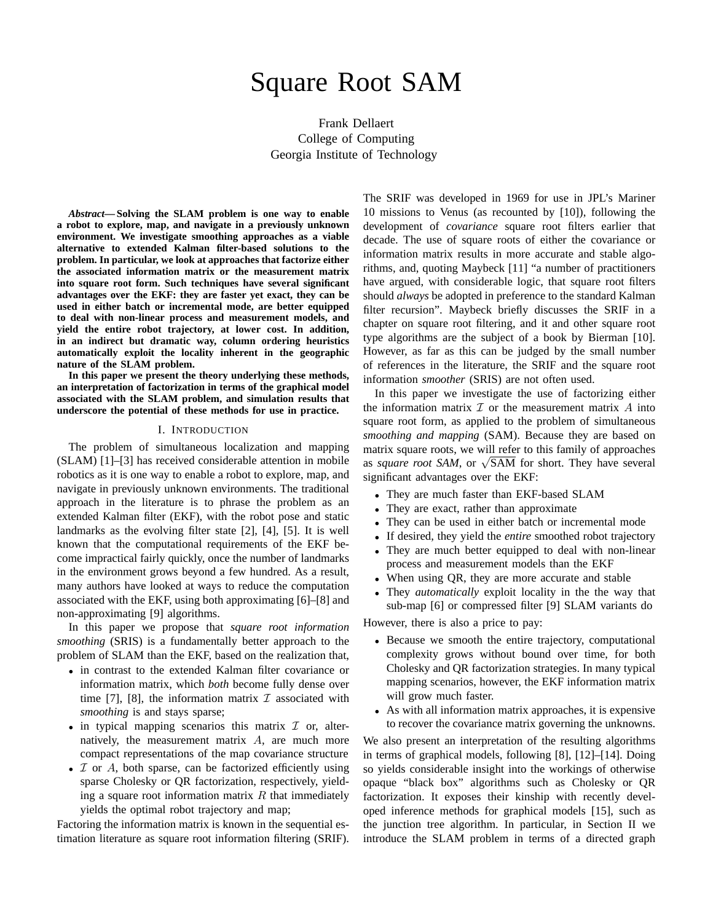# Square Root SAM

Frank Dellaert College of Computing Georgia Institute of Technology

*Abstract***— Solving the SLAM problem is one way to enable a robot to explore, map, and navigate in a previously unknown environment. We investigate smoothing approaches as a viable alternative to extended Kalman filter-based solutions to the problem. In particular, we look at approaches that factorize either the associated information matrix or the measurement matrix into square root form. Such techniques have several significant advantages over the EKF: they are faster yet exact, they can be used in either batch or incremental mode, are better equipped to deal with non-linear process and measurement models, and yield the entire robot trajectory, at lower cost. In addition, in an indirect but dramatic way, column ordering heuristics automatically exploit the locality inherent in the geographic nature of the SLAM problem.**

**In this paper we present the theory underlying these methods, an interpretation of factorization in terms of the graphical model associated with the SLAM problem, and simulation results that underscore the potential of these methods for use in practice.**

#### I. INTRODUCTION

The problem of simultaneous localization and mapping (SLAM) [1]–[3] has received considerable attention in mobile robotics as it is one way to enable a robot to explore, map, and navigate in previously unknown environments. The traditional approach in the literature is to phrase the problem as an extended Kalman filter (EKF), with the robot pose and static landmarks as the evolving filter state [2], [4], [5]. It is well known that the computational requirements of the EKF become impractical fairly quickly, once the number of landmarks in the environment grows beyond a few hundred. As a result, many authors have looked at ways to reduce the computation associated with the EKF, using both approximating [6]–[8] and non-approximating [9] algorithms.

In this paper we propose that *square root information smoothing* (SRIS) is a fundamentally better approach to the problem of SLAM than the EKF, based on the realization that,

- in contrast to the extended Kalman filter covariance or information matrix, which *both* become fully dense over time [7], [8], the information matrix  $\mathcal I$  associated with *smoothing* is and stays sparse;
- in typical mapping scenarios this matrix  $\mathcal I$  or, alternatively, the measurement matrix A, are much more compact representations of the map covariance structure
- $I$  or  $A$ , both sparse, can be factorized efficiently using sparse Cholesky or QR factorization, respectively, yielding a square root information matrix  $R$  that immediately yields the optimal robot trajectory and map;

Factoring the information matrix is known in the sequential estimation literature as square root information filtering (SRIF). The SRIF was developed in 1969 for use in JPL's Mariner 10 missions to Venus (as recounted by [10]), following the development of *covariance* square root filters earlier that decade. The use of square roots of either the covariance or information matrix results in more accurate and stable algorithms, and, quoting Maybeck [11] "a number of practitioners have argued, with considerable logic, that square root filters should *always* be adopted in preference to the standard Kalman filter recursion". Maybeck briefly discusses the SRIF in a chapter on square root filtering, and it and other square root type algorithms are the subject of a book by Bierman [10]. However, as far as this can be judged by the small number of references in the literature, the SRIF and the square root information *smoother* (SRIS) are not often used.

In this paper we investigate the use of factorizing either the information matrix  $\mathcal I$  or the measurement matrix  $A$  into square root form, as applied to the problem of simultaneous *smoothing and mapping* (SAM). Because they are based on matrix square roots, we will refer to this family of approaches matrix square roots, we will refer to this family of approaches<br>as *square root SAM*, or √SAM for short. They have several significant advantages over the EKF:

- They are much faster than EKF-based SLAM
- They are exact, rather than approximate
- They can be used in either batch or incremental mode
- If desired, they yield the *entire* smoothed robot trajectory
- They are much better equipped to deal with non-linear process and measurement models than the EKF
- When using OR, they are more accurate and stable
- They *automatically* exploit locality in the the way that sub-map [6] or compressed filter [9] SLAM variants do

However, there is also a price to pay:

- Because we smooth the entire trajectory, computational complexity grows without bound over time, for both Cholesky and QR factorization strategies. In many typical mapping scenarios, however, the EKF information matrix will grow much faster.
- As with all information matrix approaches, it is expensive to recover the covariance matrix governing the unknowns.

We also present an interpretation of the resulting algorithms in terms of graphical models, following [8], [12]–[14]. Doing so yields considerable insight into the workings of otherwise opaque "black box" algorithms such as Cholesky or QR factorization. It exposes their kinship with recently developed inference methods for graphical models [15], such as the junction tree algorithm. In particular, in Section II we introduce the SLAM problem in terms of a directed graph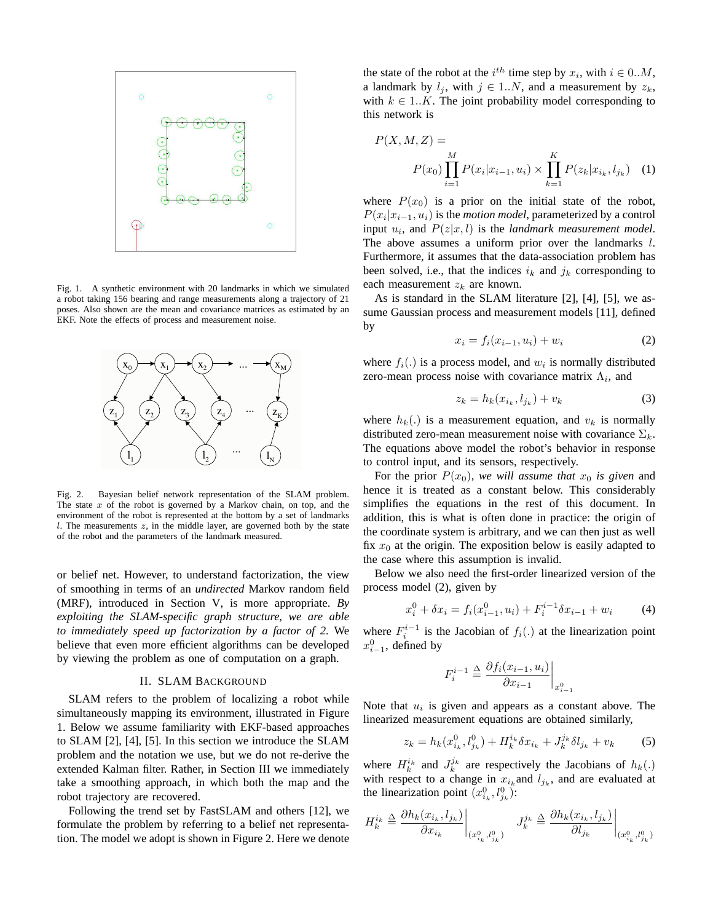

Fig. 1. A synthetic environment with 20 landmarks in which we simulated a robot taking 156 bearing and range measurements along a trajectory of 21 poses. Also shown are the mean and covariance matrices as estimated by an EKF. Note the effects of process and measurement noise.



Fig. 2. Bayesian belief network representation of the SLAM problem. The state  $x$  of the robot is governed by a Markov chain, on top, and the environment of the robot is represented at the bottom by a set of landmarks  $l$ . The measurements  $z$ , in the middle layer, are governed both by the state of the robot and the parameters of the landmark measured.

or belief net. However, to understand factorization, the view of smoothing in terms of an *undirected* Markov random field (MRF), introduced in Section V, is more appropriate. *By exploiting the SLAM-specific graph structure, we are able to immediately speed up factorization by a factor of 2.* We believe that even more efficient algorithms can be developed by viewing the problem as one of computation on a graph.

### II. SLAM BACKGROUND

SLAM refers to the problem of localizing a robot while simultaneously mapping its environment, illustrated in Figure 1. Below we assume familiarity with EKF-based approaches to SLAM [2], [4], [5]. In this section we introduce the SLAM problem and the notation we use, but we do not re-derive the extended Kalman filter. Rather, in Section III we immediately take a smoothing approach, in which both the map and the robot trajectory are recovered.

Following the trend set by FastSLAM and others [12], we formulate the problem by referring to a belief net representation. The model we adopt is shown in Figure 2. Here we denote

the state of the robot at the  $i^{th}$  time step by  $x_i$ , with  $i \in 0...M$ , a landmark by  $l_j$ , with  $j \in 1..N$ , and a measurement by  $z_k$ , with  $k \in 1..K$ . The joint probability model corresponding to this network is

$$
P(X, M, Z) =
$$
  
\n
$$
P(x_0) \prod_{i=1}^{M} P(x_i | x_{i-1}, u_i) \times \prod_{k=1}^{K} P(z_k | x_{i_k}, l_{j_k})
$$
 (1)

where  $P(x_0)$  is a prior on the initial state of the robot,  $P(x_i|x_{i-1}, u_i)$  is the *motion model*, parameterized by a control input  $u_i$ , and  $P(z|x, l)$  is the *landmark measurement model*. The above assumes a uniform prior over the landmarks l. Furthermore, it assumes that the data-association problem has been solved, i.e., that the indices  $i_k$  and  $j_k$  corresponding to each measurement  $z_k$  are known.

As is standard in the SLAM literature [2], [4], [5], we assume Gaussian process and measurement models [11], defined by

$$
x_i = f_i(x_{i-1}, u_i) + w_i \tag{2}
$$

where  $f_i(.)$  is a process model, and  $w_i$  is normally distributed zero-mean process noise with covariance matrix  $\Lambda_i$ , and

$$
z_k = h_k(x_{i_k}, l_{j_k}) + v_k \tag{3}
$$

where  $h_k(.)$  is a measurement equation, and  $v_k$  is normally distributed zero-mean measurement noise with covariance  $\Sigma_k$ . The equations above model the robot's behavior in response to control input, and its sensors, respectively.

For the prior  $P(x_0)$ , we will assume that  $x_0$  is given and hence it is treated as a constant below. This considerably simplifies the equations in the rest of this document. In addition, this is what is often done in practice: the origin of the coordinate system is arbitrary, and we can then just as well fix  $x_0$  at the origin. The exposition below is easily adapted to the case where this assumption is invalid.

Below we also need the first-order linearized version of the process model (2), given by

$$
x_i^0 + \delta x_i = f_i(x_{i-1}^0, u_i) + F_i^{i-1} \delta x_{i-1} + w_i \tag{4}
$$

where  $F_i^{i-1}$  is the Jacobian of  $f_i(.)$  at the linearization point  $x_{i-1}^0$ , defined by

$$
F_i^{i-1} \triangleq \frac{\partial f_i(x_{i-1}, u_i)}{\partial x_{i-1}}\bigg|_{x_{i-1}^0}
$$

Note that  $u_i$  is given and appears as a constant above. The linearized measurement equations are obtained similarly,

$$
z_k = h_k(x_{i_k}^0, l_{j_k}^0) + H_k^{i_k} \delta x_{i_k} + J_k^{j_k} \delta l_{j_k} + v_k \tag{5}
$$

where  $H_k^{i_k}$  and  $J_k^{j_k}$  are respectively the Jacobians of  $h_k(.)$ with respect to a change in  $x_{i_k}$  and  $l_{j_k}$ , and are evaluated at the linearization point  $(x_{i_k}^0, l_{j_k}^0)$ :

$$
H_k^{i_k} \stackrel{\Delta}{=} \frac{\partial h_k(x_{i_k}, l_{j_k})}{\partial x_{i_k}}\bigg|_{(x_{i_k}^0, l_{j_k}^0)} \quad J_k^{j_k} \stackrel{\Delta}{=} \frac{\partial h_k(x_{i_k}, l_{j_k})}{\partial l_{j_k}}\bigg|_{(x_{i_k}^0, l_{j_k}^0)}
$$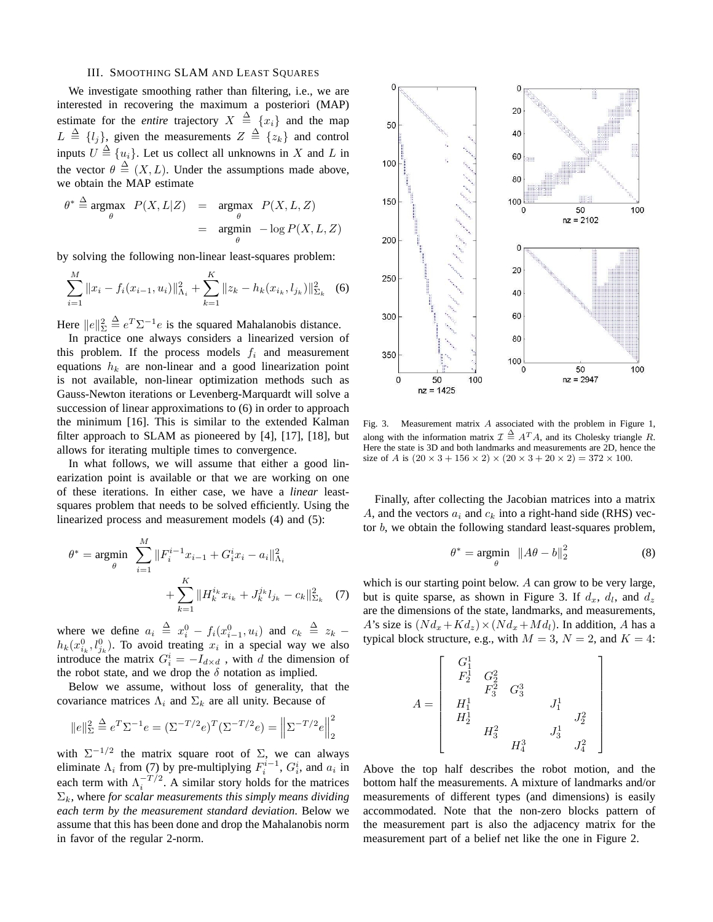### III. SMOOTHING SLAM AND LEAST SQUARES

We investigate smoothing rather than filtering, i.e., we are interested in recovering the maximum a posteriori (MAP) estimate for the *entire* trajectory  $X \triangleq \{x_i\}$  and the map  $L \triangleq \{l_j\}$ , given the measurements  $Z \triangleq \{z_k\}$  and control inputs  $U \triangleq \{u_i\}$ . Let us collect all unknowns in X and L in the vector  $\theta \triangleq (X, L)$ . Under the assumptions made above, we obtain the MAP estimate

$$
\theta^* \stackrel{\Delta}{=} \underset{\theta}{\text{argmax}} \quad P(X, L|Z) = \underset{\theta}{\text{argmax}} \quad P(X, L, Z)
$$

$$
= \underset{\theta}{\text{argmin}} \quad -\log P(X, L, Z)
$$

by solving the following non-linear least-squares problem:

$$
\sum_{i=1}^{M} ||x_i - f_i(x_{i-1}, u_i)||_{\Lambda_i}^2 + \sum_{k=1}^{K} ||z_k - h_k(x_{i_k}, l_{j_k})||_{\Sigma_k}^2
$$
 (6)

Here  $||e||_{\Sigma}^2 \triangleq e^T \Sigma^{-1} e$  is the squared Mahalanobis distance.

In practice one always considers a linearized version of this problem. If the process models  $f_i$  and measurement equations  $h_k$  are non-linear and a good linearization point is not available, non-linear optimization methods such as Gauss-Newton iterations or Levenberg-Marquardt will solve a succession of linear approximations to (6) in order to approach the minimum [16]. This is similar to the extended Kalman filter approach to SLAM as pioneered by [4], [17], [18], but allows for iterating multiple times to convergence.

In what follows, we will assume that either a good linearization point is available or that we are working on one of these iterations. In either case, we have a *linear* leastsquares problem that needs to be solved efficiently. Using the linearized process and measurement models (4) and (5):

$$
\theta^* = \underset{\theta}{\text{argmin}} \sum_{i=1}^M \|F_i^{i-1} x_{i-1} + G_i^i x_i - a_i\|_{\Lambda_i}^2 + \sum_{k=1}^K \|H_k^{i_k} x_{i_k} + J_k^{j_k} l_{j_k} - c_k\|_{\Sigma_k}^2 \tag{7}
$$

where we define  $a_i \triangleq x_i^0 - f_i(x_{i-1}^0, u_i)$  and  $c_k \triangleq z_k$  –  $h_k(x_{i_k}^0, l_{j_k}^0)$ . To avoid treating  $x_i$  in a special way we also introduce the matrix  $G_i^i = -I_{d \times d}$ , with d the dimension of the robot state, and we drop the  $\delta$  notation as implied.

Below we assume, without loss of generality, that the covariance matrices  $\Lambda_i$  and  $\Sigma_k$  are all unity. Because of

$$
||e||_{\Sigma}^{2} \stackrel{\Delta}{=} e^{T} \Sigma^{-1} e = (\Sigma^{-T/2} e)^{T} (\Sigma^{-T/2} e) = ||\Sigma^{-T/2} e||_{2}^{2}
$$

with  $\Sigma^{-1/2}$  the matrix square root of  $\Sigma$ , we can always eliminate  $\Lambda_i$  from (7) by pre-multiplying  $F_i^{i-1}$ ,  $G_i^i$ , and  $a_i$  in each term with  $\Lambda_i^{-T/2}$ . A similar story holds for the matrices  $\Sigma_k$ , where *for scalar measurements this simply means dividing each term by the measurement standard deviation*. Below we assume that this has been done and drop the Mahalanobis norm in favor of the regular 2-norm.



Fig. 3. Measurement matrix A associated with the problem in Figure 1, along with the information matrix  $\mathcal{I} \triangleq A^T A$ , and its Cholesky triangle R. Here the state is 3D and both landmarks and measurements are 2D, hence the size of A is  $(20 \times 3 + 156 \times 2) \times (20 \times 3 + 20 \times 2) = 372 \times 100$ .

Finally, after collecting the Jacobian matrices into a matrix A, and the vectors  $a_i$  and  $c_k$  into a right-hand side (RHS) vector  $b$ , we obtain the following standard least-squares problem,

$$
\theta^* = \underset{\theta}{\text{argmin}} \ \ \|A\theta - b\|_2^2 \tag{8}
$$

which is our starting point below. A can grow to be very large, but is quite sparse, as shown in Figure 3. If  $d_x$ ,  $d_l$ , and  $d_z$ are the dimensions of the state, landmarks, and measurements, A's size is  $(N d_x+K d_z) \times (N d_x+M d_l)$ . In addition, A has a typical block structure, e.g., with  $M = 3$ ,  $N = 2$ , and  $K = 4$ :

$$
A = \left[ \begin{array}{ccc} G_1^1 & & & \\ F_2^1 & G_2^2 & & & \\ & F_3^2 & G_3^3 & & \\ H_1^1 & & & J_1^1 & \\ H_2^1 & & & & J_2^2 & \\ & & H_3^2 & & J_3^1 & \\ & & & H_4^3 & & J_4^2 & \end{array} \right]
$$

Above the top half describes the robot motion, and the bottom half the measurements. A mixture of landmarks and/or measurements of different types (and dimensions) is easily accommodated. Note that the non-zero blocks pattern of the measurement part is also the adjacency matrix for the measurement part of a belief net like the one in Figure 2.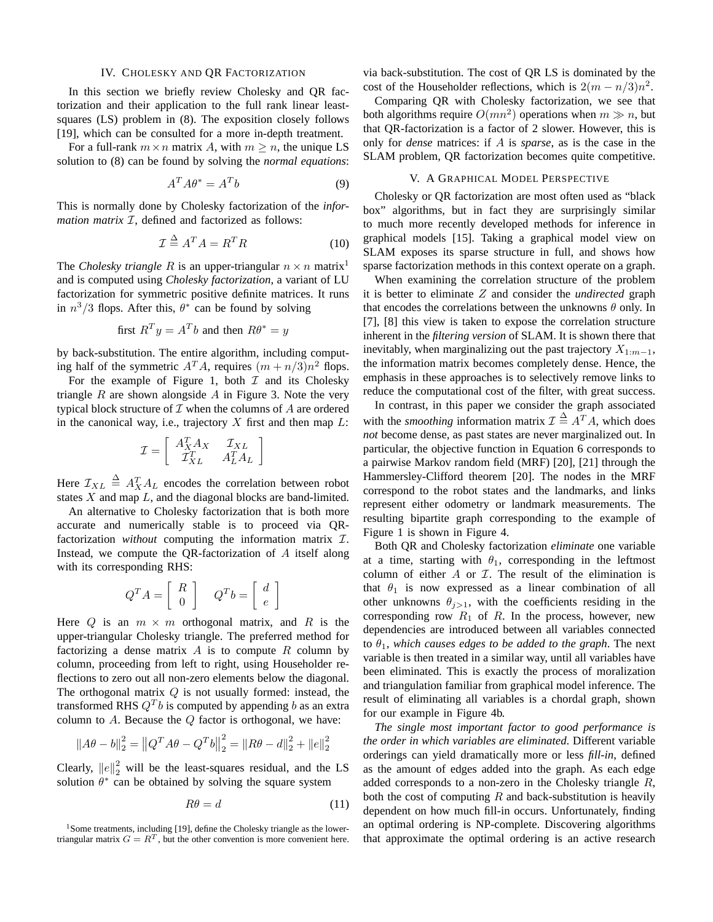### IV. CHOLESKY AND QR FACTORIZATION

In this section we briefly review Cholesky and QR factorization and their application to the full rank linear leastsquares (LS) problem in (8). The exposition closely follows [19], which can be consulted for a more in-depth treatment.

For a full-rank  $m \times n$  matrix A, with  $m \ge n$ , the unique LS solution to (8) can be found by solving the *normal equations*:

$$
A^T A \theta^* = A^T b \tag{9}
$$

This is normally done by Cholesky factorization of the *information matrix*  $I$ , defined and factorized as follows:

$$
\mathcal{I} \stackrel{\Delta}{=} A^T A = R^T R \tag{10}
$$

The *Cholesky triangle* R is an upper-triangular  $n \times n$  matrix<sup>1</sup> and is computed using *Cholesky factorization*, a variant of LU factorization for symmetric positive definite matrices. It runs in  $n^3/3$  flops. After this,  $\theta^*$  can be found by solving

first 
$$
R^T y = A^T b
$$
 and then  $R\theta^* = y$ 

by back-substitution. The entire algorithm, including computing half of the symmetric  $A^T A$ , requires  $(m + n/3)n^2$  flops.

For the example of Figure 1, both  $\mathcal I$  and its Cholesky triangle  $R$  are shown alongside  $A$  in Figure 3. Note the very typical block structure of  $\mathcal I$  when the columns of  $A$  are ordered in the canonical way, i.e., trajectory  $X$  first and then map  $L$ :

$$
\mathcal{I} = \left[ \begin{array}{cc} A_X^T A_X & \mathcal{I}_{XL} \\ \mathcal{I}_{XL}^T & A_L^T A_L \end{array} \right]
$$

Here  $\mathcal{I}_{XL} \triangleq A_X^T A_L$  encodes the correlation between robot states  $X$  and map  $L$ , and the diagonal blocks are band-limited.

An alternative to Cholesky factorization that is both more accurate and numerically stable is to proceed via QRfactorization *without* computing the information matrix I. Instead, we compute the QR-factorization of A itself along with its corresponding RHS:

$$
Q^T A = \left[ \begin{array}{c} R \\ 0 \end{array} \right] \quad Q^T b = \left[ \begin{array}{c} d \\ e \end{array} \right]
$$

Here Q is an  $m \times m$  orthogonal matrix, and R is the upper-triangular Cholesky triangle. The preferred method for factorizing a dense matrix A is to compute R column by column, proceeding from left to right, using Householder reflections to zero out all non-zero elements below the diagonal. The orthogonal matrix  $Q$  is not usually formed: instead, the transformed RHS  $Q^T b$  is computed by appending b as an extra column to  $A$ . Because the  $Q$  factor is orthogonal, we have:

$$
||A\theta - b||_2^2 = ||Q^T A\theta - Q^T b||_2^2 = ||R\theta - d||_2^2 + ||e||_2^2
$$

Clearly,  $||e||_2^2$  will be the least-squares residual, and the LS solution  $\theta^*$  can be obtained by solving the square system

$$
R\theta = d \tag{11}
$$

via back-substitution. The cost of QR LS is dominated by the cost of the Householder reflections, which is  $2(m - n/3)n^2$ .

Comparing QR with Cholesky factorization, we see that both algorithms require  $O(mn^2)$  operations when  $m \gg n$ , but that QR-factorization is a factor of 2 slower. However, this is only for *dense* matrices: if A is *sparse*, as is the case in the SLAM problem, QR factorization becomes quite competitive.

## V. A GRAPHICAL MODEL PERSPECTIVE

Cholesky or QR factorization are most often used as "black box" algorithms, but in fact they are surprisingly similar to much more recently developed methods for inference in graphical models [15]. Taking a graphical model view on SLAM exposes its sparse structure in full, and shows how sparse factorization methods in this context operate on a graph.

When examining the correlation structure of the problem it is better to eliminate Z and consider the *undirected* graph that encodes the correlations between the unknowns  $\theta$  only. In [7], [8] this view is taken to expose the correlation structure inherent in the *filtering version* of SLAM. It is shown there that inevitably, when marginalizing out the past trajectory  $X_{1:m-1}$ , the information matrix becomes completely dense. Hence, the emphasis in these approaches is to selectively remove links to reduce the computational cost of the filter, with great success.

In contrast, in this paper we consider the graph associated with the *smoothing* information matrix  $\mathcal{I} \triangleq A^T A$ , which does *not* become dense, as past states are never marginalized out. In particular, the objective function in Equation 6 corresponds to a pairwise Markov random field (MRF) [20], [21] through the Hammersley-Clifford theorem [20]. The nodes in the MRF correspond to the robot states and the landmarks, and links represent either odometry or landmark measurements. The resulting bipartite graph corresponding to the example of Figure 1 is shown in Figure 4.

Both QR and Cholesky factorization *eliminate* one variable at a time, starting with  $\theta_1$ , corresponding in the leftmost column of either  $A$  or  $I$ . The result of the elimination is that  $\theta_1$  is now expressed as a linear combination of all other unknowns  $\theta_{i>1}$ , with the coefficients residing in the corresponding row  $R_1$  of R. In the process, however, new dependencies are introduced between all variables connected to  $\theta_1$ , which causes edges to be added to the graph. The next variable is then treated in a similar way, until all variables have been eliminated. This is exactly the process of moralization and triangulation familiar from graphical model inference. The result of eliminating all variables is a chordal graph, shown for our example in Figure 4b.

*The single most important factor to good performance is the order in which variables are eliminated*. Different variable orderings can yield dramatically more or less *fill-in*, defined as the amount of edges added into the graph. As each edge added corresponds to a non-zero in the Cholesky triangle R, both the cost of computing  $R$  and back-substitution is heavily dependent on how much fill-in occurs. Unfortunately, finding an optimal ordering is NP-complete. Discovering algorithms that approximate the optimal ordering is an active research

 $1$ Some treatments, including [19], define the Cholesky triangle as the lowertriangular matrix  $G = R^T$ , but the other convention is more convenient here.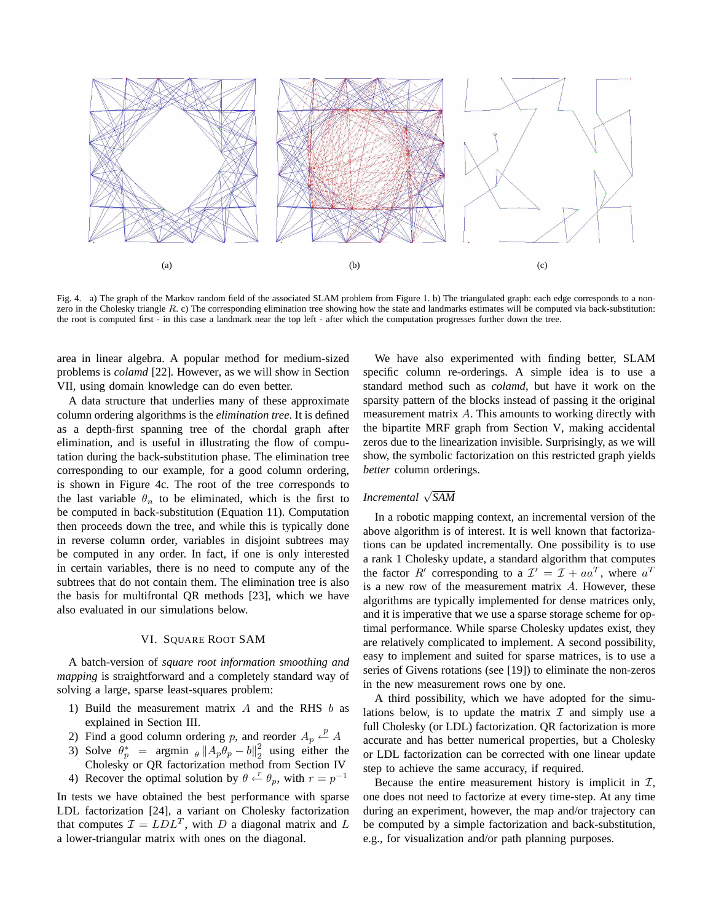

Fig. 4. a) The graph of the Markov random field of the associated SLAM problem from Figure 1. b) The triangulated graph: each edge corresponds to a nonzero in the Cholesky triangle  $R$ . c) The corresponding elimination tree showing how the state and landmarks estimates will be computed via back-substitution: the root is computed first - in this case a landmark near the top left - after which the computation progresses further down the tree.

area in linear algebra. A popular method for medium-sized problems is *colamd* [22]*.* However*,* as we will show in Section VII, using domain knowledge can do even better.

A data structure that underlies many of these approximate column ordering algorithms is the *elimination tree*. It is defined as a depth-first spanning tree of the chordal graph after elimination, and is useful in illustrating the flow of computation during the back-substitution phase. The elimination tree corresponding to our example, for a good column ordering, is shown in Figure 4c. The root of the tree corresponds to the last variable  $\theta_n$  to be eliminated, which is the first to be computed in back-substitution (Equation 11). Computation then proceeds down the tree, and while this is typically done in reverse column order, variables in disjoint subtrees may be computed in any order. In fact, if one is only interested in certain variables, there is no need to compute any of the subtrees that do not contain them. The elimination tree is also the basis for multifrontal QR methods [23], which we have also evaluated in our simulations below.

## VI. SQUARE ROOT SAM

A batch-version of *square root information smoothing and mapping* is straightforward and a completely standard way of solving a large, sparse least-squares problem:

- 1) Build the measurement matrix  $A$  and the RHS  $b$  as explained in Section III.
- 2) Find a good column ordering p, and reorder  $A_p \stackrel{p}{\leftarrow} A$
- 3) Solve  $\theta_p^*$  = argmin  $\theta \|A_p \theta_p b\|_2^2$  $\frac{2}{2}$  using either the Cholesky or QR factorization method from Section IV
- 4) Recover the optimal solution by  $\theta \leftarrow^{r} \theta_p$ , with  $r = p^{-1}$

In tests we have obtained the best performance with sparse LDL factorization [24], a variant on Cholesky factorization that computes  $\mathcal{I} = LDL^T$ , with D a diagonal matrix and L a lower-triangular matrix with ones on the diagonal.

We have also experimented with finding better, SLAM specific column re-orderings. A simple idea is to use a standard method such as *colamd*, but have it work on the sparsity pattern of the blocks instead of passing it the original measurement matrix A. This amounts to working directly with the bipartite MRF graph from Section V, making accidental zeros due to the linearization invisible. Surprisingly, as we will show, the symbolic factorization on this restricted graph yields *better* column orderings.

## *Incremental* <sup>√</sup> *SAM*

In a robotic mapping context, an incremental version of the above algorithm is of interest. It is well known that factorizations can be updated incrementally. One possibility is to use a rank 1 Cholesky update, a standard algorithm that computes the factor R' corresponding to a  $\mathcal{I}' = \mathcal{I} + aa^T$ , where  $a^T$ is a new row of the measurement matrix A. However, these algorithms are typically implemented for dense matrices only, and it is imperative that we use a sparse storage scheme for optimal performance. While sparse Cholesky updates exist, they are relatively complicated to implement. A second possibility, easy to implement and suited for sparse matrices, is to use a series of Givens rotations (see [19]) to eliminate the non-zeros in the new measurement rows one by one.

A third possibility, which we have adopted for the simulations below, is to update the matrix  $\mathcal I$  and simply use a full Cholesky (or LDL) factorization. QR factorization is more accurate and has better numerical properties, but a Cholesky or LDL factorization can be corrected with one linear update step to achieve the same accuracy, if required.

Because the entire measurement history is implicit in  $\mathcal{I}$ , one does not need to factorize at every time-step. At any time during an experiment, however, the map and/or trajectory can be computed by a simple factorization and back-substitution, e.g., for visualization and/or path planning purposes.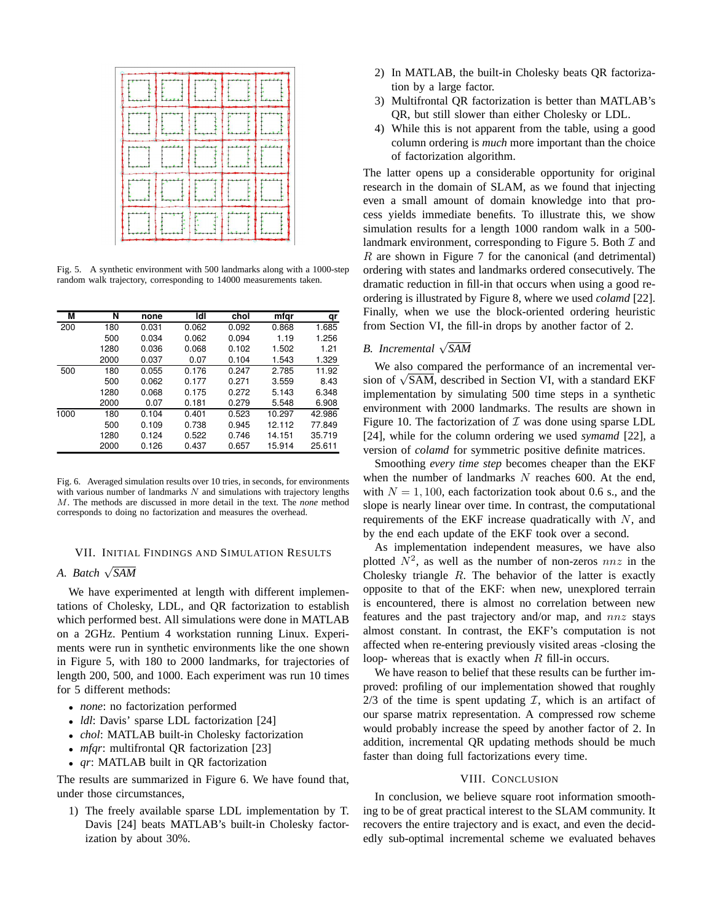|     |                | : 1 |  |
|-----|----------------|-----|--|
| 14. |                |     |  |
|     | $\mathcal{A}$  |     |  |
|     | $\mathbb{H}^1$ |     |  |

Fig. 5. A synthetic environment with 500 landmarks along with a 1000-step random walk trajectory, corresponding to 14000 measurements taken.

| М    | N    | none  | ldl   | chol  | mfgr   | qr     |
|------|------|-------|-------|-------|--------|--------|
| 200  | 180  | 0.031 | 0.062 | 0.092 | 0.868  | 1.685  |
|      | 500  | 0.034 | 0.062 | 0.094 | 1.19   | 1.256  |
|      | 1280 | 0.036 | 0.068 | 0.102 | 1.502  | 1.21   |
|      | 2000 | 0.037 | 0.07  | 0.104 | 1.543  | 1.329  |
| 500  | 180  | 0.055 | 0.176 | 0.247 | 2.785  | 11.92  |
|      | 500  | 0.062 | 0.177 | 0.271 | 3.559  | 8.43   |
|      | 1280 | 0.068 | 0.175 | 0.272 | 5.143  | 6.348  |
|      | 2000 | 0.07  | 0.181 | 0.279 | 5.548  | 6.908  |
| 1000 | 180  | 0.104 | 0.401 | 0.523 | 10.297 | 42.986 |
|      | 500  | 0.109 | 0.738 | 0.945 | 12.112 | 77.849 |
|      | 1280 | 0.124 | 0.522 | 0.746 | 14.151 | 35.719 |
|      | 2000 | 0.126 | 0.437 | 0.657 | 15.914 | 25.611 |

Fig. 6. Averaged simulation results over 10 tries, in seconds, for environments with various number of landmarks  $N$  and simulations with trajectory lengths M. The methods are discussed in more detail in the text. The *none* method corresponds to doing no factorization and measures the overhead.

## VII. INITIAL FINDINGS AND SIMULATION RESULTS

## *A. Batch* <sup>√</sup> *SAM*

We have experimented at length with different implementations of Cholesky, LDL, and QR factorization to establish which performed best. All simulations were done in MATLAB on a 2GHz. Pentium 4 workstation running Linux. Experiments were run in synthetic environments like the one shown in Figure 5, with 180 to 2000 landmarks, for trajectories of length 200, 500, and 1000. Each experiment was run 10 times for 5 different methods:

- *none*: no factorization performed
- *ldl*: Davis' sparse LDL factorization [24]
- *chol*: MATLAB built-in Cholesky factorization
- *mfqr*: multifrontal QR factorization [23]
- *qr*: MATLAB built in QR factorization

The results are summarized in Figure 6. We have found that, under those circumstances,

1) The freely available sparse LDL implementation by T. Davis [24] beats MATLAB's built-in Cholesky factorization by about 30%.

- 2) In MATLAB, the built-in Cholesky beats QR factorization by a large factor.
- 3) Multifrontal QR factorization is better than MATLAB's QR, but still slower than either Cholesky or LDL.
- 4) While this is not apparent from the table, using a good column ordering is *much* more important than the choice of factorization algorithm.

The latter opens up a considerable opportunity for original research in the domain of SLAM, as we found that injecting even a small amount of domain knowledge into that process yields immediate benefits. To illustrate this, we show simulation results for a length 1000 random walk in a 500 landmark environment, corresponding to Figure 5. Both  $\mathcal I$  and R are shown in Figure 7 for the canonical (and detrimental) ordering with states and landmarks ordered consecutively. The dramatic reduction in fill-in that occurs when using a good reordering is illustrated by Figure 8, where we used *colamd* [22]. Finally, when we use the block-oriented ordering heuristic from Section VI, the fill-in drops by another factor of 2.

## *B. Incremental* <sup>√</sup> *SAM*

We also compared the performance of an incremental verwe also compared the performance of an incremental version of  $\sqrt{SAM}$ , described in Section VI, with a standard EKF implementation by simulating 500 time steps in a synthetic environment with 2000 landmarks. The results are shown in Figure 10. The factorization of  $\mathcal I$  was done using sparse LDL [24], while for the column ordering we used *symamd* [22], a version of *colamd* for symmetric positive definite matrices.

Smoothing *every time step* becomes cheaper than the EKF when the number of landmarks  $N$  reaches 600. At the end, with  $N = 1, 100$ , each factorization took about 0.6 s., and the slope is nearly linear over time. In contrast, the computational requirements of the EKF increase quadratically with  $N$ , and by the end each update of the EKF took over a second.

As implementation independent measures, we have also plotted  $N^2$ , as well as the number of non-zeros  $nnz$  in the Cholesky triangle  $R$ . The behavior of the latter is exactly opposite to that of the EKF: when new, unexplored terrain is encountered, there is almost no correlation between new features and the past trajectory and/or map, and nnz stays almost constant. In contrast, the EKF's computation is not affected when re-entering previously visited areas -closing the loop- whereas that is exactly when  $R$  fill-in occurs.

We have reason to belief that these results can be further improved: profiling of our implementation showed that roughly 2/3 of the time is spent updating  $I$ , which is an artifact of our sparse matrix representation. A compressed row scheme would probably increase the speed by another factor of 2. In addition, incremental QR updating methods should be much faster than doing full factorizations every time.

### VIII. CONCLUSION

In conclusion, we believe square root information smoothing to be of great practical interest to the SLAM community. It recovers the entire trajectory and is exact, and even the decidedly sub-optimal incremental scheme we evaluated behaves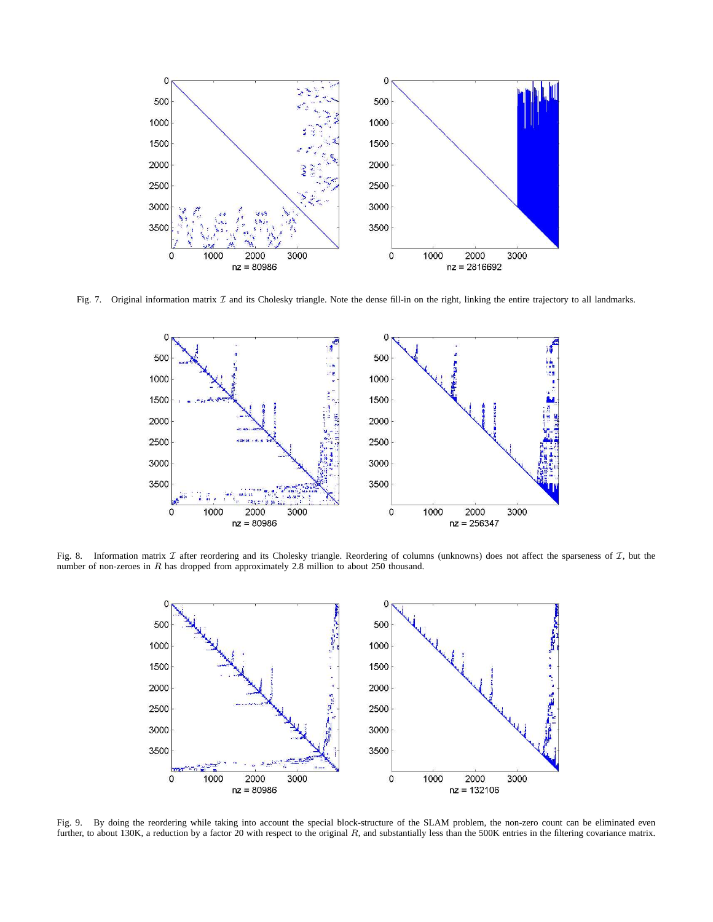

Fig. 7. Original information matrix  $\mathcal I$  and its Cholesky triangle. Note the dense fill-in on the right, linking the entire trajectory to all landmarks.



Fig. 8. Information matrix  $I$  after reordering and its Cholesky triangle. Reordering of columns (unknowns) does not affect the sparseness of  $I$ , but the number of non-zeroes in R has dropped from approximately 2.8 million to about 250 thousand.



Fig. 9. By doing the reordering while taking into account the special block-structure of the SLAM problem, the non-zero count can be eliminated even further, to about 130K, a reduction by a factor 20 with respect to the original R, and substantially less than the 500K entries in the filtering covariance matrix.